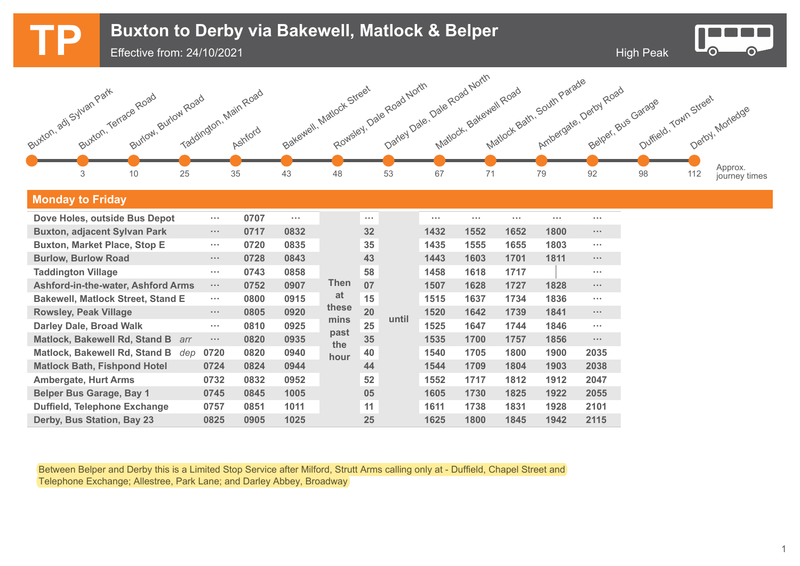

## **Monday to Friday**

| Dove Holes, outside Bus Depot               | $\sim 100$           | 0707 | $\sim$ 100 $\pm$ |             | $\sim 100$ |       | $\sim$ $\sim$ $\sim$ | $\sim 100$ | $\sim$ $\sim$ $\sim$ | $\sim 100$ | $\sim$ 100 $\pm$                                                                                                                                                                                                                                                                                                                                                                                                       |
|---------------------------------------------|----------------------|------|------------------|-------------|------------|-------|----------------------|------------|----------------------|------------|------------------------------------------------------------------------------------------------------------------------------------------------------------------------------------------------------------------------------------------------------------------------------------------------------------------------------------------------------------------------------------------------------------------------|
| <b>Buxton, adjacent Sylvan Park</b>         | $\cdots$             | 0717 | 0832             |             | 32         | until | 1432                 | 1552       | 1652                 | 1800       | $\sim 100$                                                                                                                                                                                                                                                                                                                                                                                                             |
| <b>Buxton, Market Place, Stop E</b>         | $\sim 100$           | 0720 | 0835             |             | 35         |       | 1435                 | 1555       | 1655                 | 1803       | <b>ALC UNIT</b>                                                                                                                                                                                                                                                                                                                                                                                                        |
| <b>Burlow, Burlow Road</b>                  | $\sim$ $\sim$ $\sim$ | 0728 | 0843             | Then        | 43         |       | 1443                 | 1603       | 1701                 | 1811       | $\sim 100$                                                                                                                                                                                                                                                                                                                                                                                                             |
| <b>Taddington Village</b>                   | $\sim$ 10 $\pm$      | 0743 | 0858             |             | 58         |       | 1458                 | 1618       | 1717                 |            | <b>ALC UNIT</b>                                                                                                                                                                                                                                                                                                                                                                                                        |
| <b>Ashford-in-the-water, Ashford Arms</b>   | $\sim$ $\sim$ $\sim$ | 0752 | 0907             |             | 07         |       | 1507                 | 1628       | 1727                 | 1828       | $\mathbf{z}=\mathbf{z}+\mathbf{z}+\mathbf{z}+\mathbf{z}+\mathbf{z}+\mathbf{z}+\mathbf{z}+\mathbf{z}+\mathbf{z}+\mathbf{z}+\mathbf{z}+\mathbf{z}+\mathbf{z}+\mathbf{z}+\mathbf{z}+\mathbf{z}+\mathbf{z}+\mathbf{z}+\mathbf{z}+\mathbf{z}+\mathbf{z}+\mathbf{z}+\mathbf{z}+\mathbf{z}+\mathbf{z}+\mathbf{z}+\mathbf{z}+\mathbf{z}+\mathbf{z}+\mathbf{z}+\mathbf{z}+\mathbf{z}+\mathbf{z}+\mathbf{z}+\mathbf{z}+\mathbf{$ |
| <b>Bakewell, Matlock Street, Stand E</b>    | $\sim 100$           | 0800 | 0915             | at          | 15         |       | 1515                 | 1637       | 1734                 | 1836       | <b>A 10 A</b>                                                                                                                                                                                                                                                                                                                                                                                                          |
| <b>Rowsley, Peak Village</b>                | $\sim$ $\sim$ $\sim$ | 0805 | 0920             | these       | 20         |       | 1520                 | 1642       | 1739                 | 1841       | $\sim 100$                                                                                                                                                                                                                                                                                                                                                                                                             |
| <b>Darley Dale, Broad Walk</b>              | $\sim$ 10 $\pm$      | 0810 | 0925             | mins        | 25         |       | 1525                 | 1647       | 1744                 | 1846       | $\sim 100$                                                                                                                                                                                                                                                                                                                                                                                                             |
| <b>Matlock, Bakewell Rd, Stand B</b><br>arr | $\sim$ $\sim$ $\sim$ | 0820 | 0935             | past<br>the | 35         |       | 1535                 | 1700       | 1757                 | 1856       | $\sim$ $\sim$ $\sim$                                                                                                                                                                                                                                                                                                                                                                                                   |
| Matlock, Bakewell Rd, Stand B<br>dep        | 0720                 | 0820 | 0940             | hour        | 40         |       | 1540                 | 1705       | 1800                 | 1900       | 2035                                                                                                                                                                                                                                                                                                                                                                                                                   |
| <b>Matlock Bath, Fishpond Hotel</b>         | 0724                 | 0824 | 0944             |             | 44         |       | 1544                 | 1709       | 1804                 | 1903       | 2038                                                                                                                                                                                                                                                                                                                                                                                                                   |
| <b>Ambergate, Hurt Arms</b>                 | 0732                 | 0832 | 0952             |             | 52         |       | 1552                 | 1717       | 1812                 | 1912       | 2047                                                                                                                                                                                                                                                                                                                                                                                                                   |
| <b>Belper Bus Garage, Bay 1</b>             | 0745                 | 0845 | 1005             |             | 05         |       | 1605                 | 1730       | 1825                 | 1922       | 2055                                                                                                                                                                                                                                                                                                                                                                                                                   |
| <b>Duffield, Telephone Exchange</b>         | 0757                 | 0851 | 1011             |             | 11         |       | 1611                 | 1738       | 1831                 | 1928       | 2101                                                                                                                                                                                                                                                                                                                                                                                                                   |
| Derby, Bus Station, Bay 23                  | 0825                 | 0905 | 1025             |             | 25         |       | 1625                 | 1800       | 1845                 | 1942       | 2115                                                                                                                                                                                                                                                                                                                                                                                                                   |

Between Belper and Derby this is a Limited Stop Service after Milford, Strutt Arms calling only at - Duffield, Chapel Street and Telephone Exchange; Allestree, Park Lane; and Darley Abbey, Broadway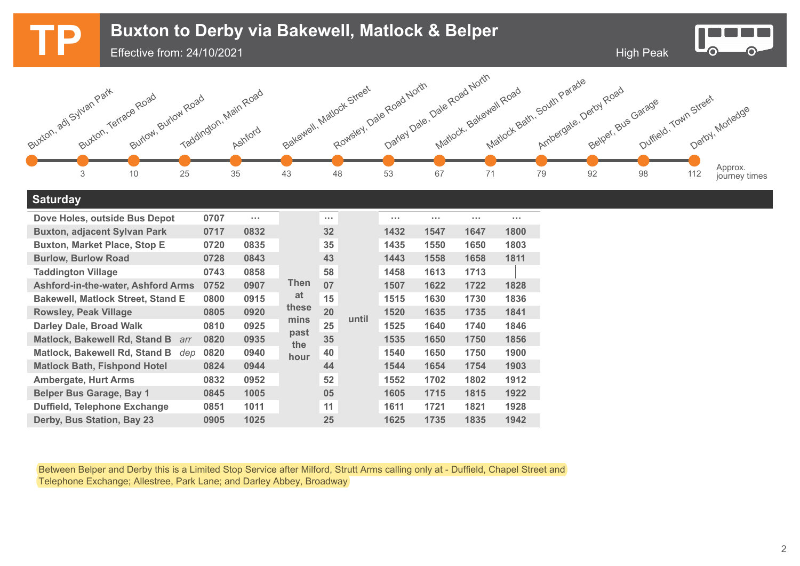

## **Saturday**

| Dove Holes, outside Bus Depot               | 0707 | $\sim 100$ |                     | $\sim 100$ |       | <b>A 10 M</b> | $\cdots$ | $\sim 100$ | <b>A 10 A</b> |
|---------------------------------------------|------|------------|---------------------|------------|-------|---------------|----------|------------|---------------|
| <b>Buxton, adjacent Sylvan Park</b>         | 0717 | 0832       | Then<br>at<br>these | 32         | until | 1432          | 1547     | 1647       | 1800          |
| <b>Buxton, Market Place, Stop E</b>         | 0720 | 0835       |                     | 35         |       | 1435          | 1550     | 1650       | 1803          |
| <b>Burlow, Burlow Road</b>                  | 0728 | 0843       |                     | 43         |       | 1443          | 1558     | 1658       | 1811          |
| <b>Taddington Village</b>                   | 0743 | 0858       |                     | 58         |       | 1458          | 1613     | 1713       |               |
| <b>Ashford-in-the-water, Ashford Arms</b>   | 0752 | 0907       |                     | 07         |       | 1507          | 1622     | 1722       | 1828          |
| <b>Bakewell, Matlock Street, Stand E</b>    | 0800 | 0915       |                     | 15         |       | 1515          | 1630     | 1730       | 1836          |
| <b>Rowsley, Peak Village</b>                | 0805 | 0920       |                     | 20         |       | 1520          | 1635     | 1735       | 1841          |
| <b>Darley Dale, Broad Walk</b>              | 0810 | 0925       | mins                | 25         |       | 1525          | 1640     | 1740       | 1846          |
| <b>Matlock, Bakewell Rd, Stand B</b><br>arr | 0820 | 0935       | past<br>the         | 35         |       | 1535          | 1650     | 1750       | 1856          |
| <b>Matlock, Bakewell Rd, Stand B</b><br>dep | 0820 | 0940       | hour                | 40         |       | 1540          | 1650     | 1750       | 1900          |
| <b>Matlock Bath, Fishpond Hotel</b>         | 0824 | 0944       |                     | 44         |       | 1544          | 1654     | 1754       | 1903          |
| <b>Ambergate, Hurt Arms</b>                 | 0832 | 0952       |                     | 52         |       | 1552          | 1702     | 1802       | 1912          |
| <b>Belper Bus Garage, Bay 1</b>             | 0845 | 1005       |                     | 05         |       | 1605          | 1715     | 1815       | 1922          |
| Duffield, Telephone Exchange                | 0851 | 1011       |                     | 11         |       | 1611          | 1721     | 1821       | 1928          |
| Derby, Bus Station, Bay 23                  | 0905 | 1025       |                     | 25         |       | 1625          | 1735     | 1835       | 1942          |

Between Belper and Derby this is a Limited Stop Service after Milford, Strutt Arms calling only at - Duffield, Chapel Street and Telephone Exchange; Allestree, Park Lane; and Darley Abbey, Broadway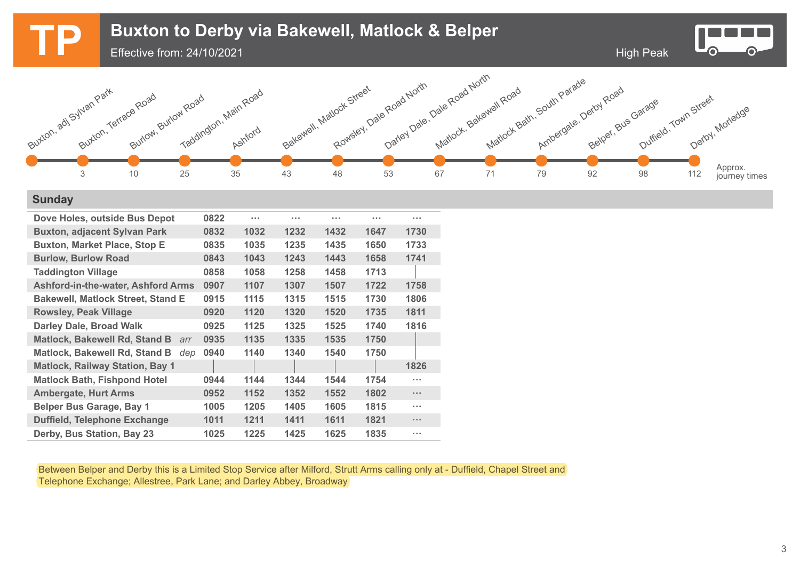

## **Sunday**

| Dove Holes, outside Bus Depot               | 0822 | $\sim$ $\sim$ $\sim$ | $\cdots$ | $\cdots$ | $\sim 100$ | .                    |
|---------------------------------------------|------|----------------------|----------|----------|------------|----------------------|
| <b>Buxton, adjacent Sylvan Park</b>         | 0832 | 1032                 | 1232     | 1432     | 1647       | 1730                 |
| <b>Buxton, Market Place, Stop E</b>         | 0835 | 1035                 | 1235     | 1435     | 1650       | 1733                 |
| <b>Burlow, Burlow Road</b>                  | 0843 | 1043                 | 1243     | 1443     | 1658       | 1741                 |
| <b>Taddington Village</b>                   | 0858 | 1058                 | 1258     | 1458     | 1713       |                      |
| <b>Ashford-in-the-water, Ashford Arms</b>   | 0907 | 1107                 | 1307     | 1507     | 1722       | 1758                 |
| <b>Bakewell, Matlock Street, Stand E</b>    | 0915 | 1115                 | 1315     | 1515     | 1730       | 1806                 |
| <b>Rowsley, Peak Village</b>                | 0920 | 1120                 | 1320     | 1520     | 1735       | 1811                 |
| <b>Darley Dale, Broad Walk</b>              | 0925 | 1125                 | 1325     | 1525     | 1740       | 1816                 |
| <b>Matlock, Bakewell Rd, Stand B</b><br>arr | 0935 | 1135                 | 1335     | 1535     | 1750       |                      |
| <b>Matlock, Bakewell Rd, Stand B</b><br>dep | 0940 | 1140                 | 1340     | 1540     | 1750       |                      |
| <b>Matlock, Railway Station, Bay 1</b>      |      |                      |          |          |            | 1826                 |
| <b>Matlock Bath, Fishpond Hotel</b>         | 0944 | 1144                 | 1344     | 1544     | 1754       | .                    |
| <b>Ambergate, Hurt Arms</b>                 | 0952 | 1152                 | 1352     | 1552     | 1802       | $\sim$ $\sim$ $\sim$ |
| <b>Belper Bus Garage, Bay 1</b>             | 1005 | 1205                 | 1405     | 1605     | 1815       | .                    |
| <b>Duffield, Telephone Exchange</b>         | 1011 | 1211                 | 1411     | 1611     | 1821       | $\cdots$             |
| Derby, Bus Station, Bay 23                  | 1025 | 1225                 | 1425     | 1625     | 1835       | .                    |

Between Belper and Derby this is a Limited Stop Service after Milford, Strutt Arms calling only at - Duffield, Chapel Street and Telephone Exchange; Allestree, Park Lane; and Darley Abbey, Broadway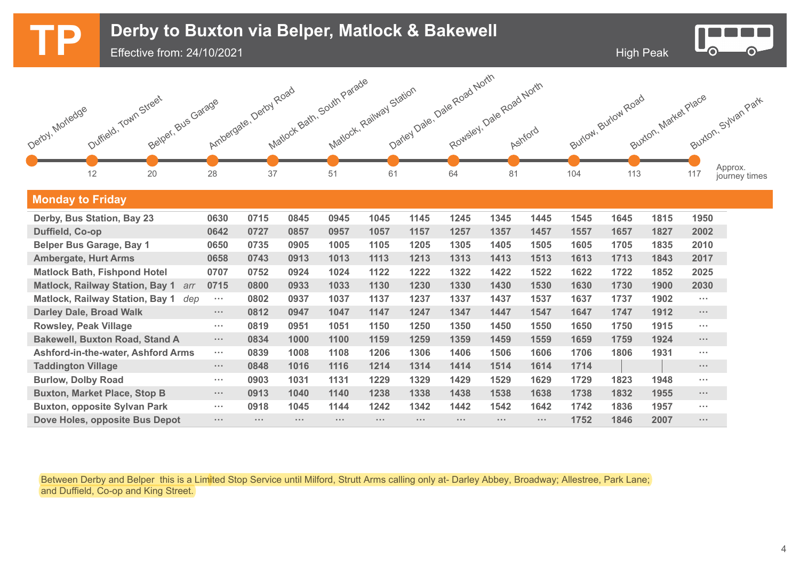

Between Derby and Belper this is a Limited Stop Service until Milford, Strutt Arms calling only at- Darley Abbey, Broadway; Allestree, Park Lane; and Duffield, Co-op and King Street.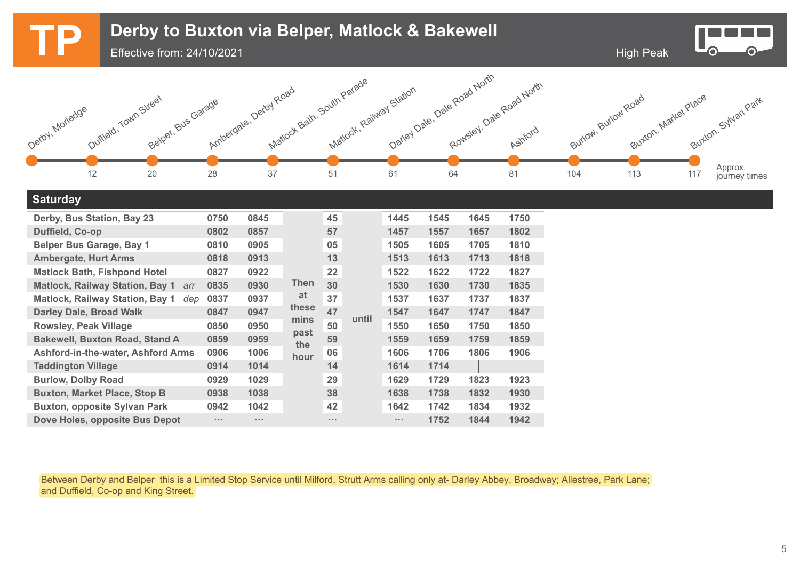

| <b>Matlock, Railway Station, Bay 1</b><br>dep | 0837     | 0937                 | at                    | 37              |       | 1537                 | 1637 | 1737 | 1837 |
|-----------------------------------------------|----------|----------------------|-----------------------|-----------------|-------|----------------------|------|------|------|
| <b>Darley Dale, Broad Walk</b>                | 0847     | 0947                 | these<br>mins<br>past | 47              | until | 1547                 | 1647 | 1747 | 1847 |
| <b>Rowsley, Peak Village</b>                  | 0850     | 0950                 |                       | 50              |       | 1550                 | 1650 | 1750 | 1850 |
| <b>Bakewell, Buxton Road, Stand A</b>         | 0859     | 0959                 | the                   | 59              |       | 1559                 | 1659 | 1759 | 1859 |
| <b>Ashford-in-the-water, Ashford Arms</b>     | 0906     | 1006                 | hour                  | 06              |       | 1606                 | 1706 | 1806 | 1906 |
| <b>Taddington Village</b>                     | 0914     | 1014                 |                       | 14              |       | 1614                 | 1714 |      |      |
| <b>Burlow, Dolby Road</b>                     | 0929     | 1029                 |                       | 29              |       | 1629                 | 1729 | 1823 | 1923 |
| <b>Buxton, Market Place, Stop B</b>           | 0938     | 1038                 |                       | 38              |       | 1638                 | 1738 | 1832 | 1930 |
| <b>Buxton, opposite Sylvan Park</b>           | 0942     | 1042                 |                       | 42              |       | 1642                 | 1742 | 1834 | 1932 |
| Dove Holes, opposite Bus Depot                | $\cdots$ | $\sim$ $\sim$ $\sim$ |                       | $\sim$ 10 $\pm$ |       | $\sim$ $\sim$ $\sim$ | 1752 | 1844 | 1942 |

Between Derby and Belper this is a Limited Stop Service until Milford, Strutt Arms calling only at- Darley Abbey, Broadway; Allestree, Park Lane; and Duffield, Co-op and King Street.